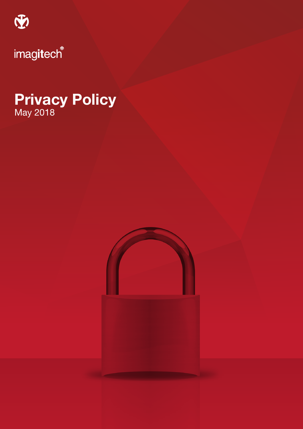

# Privacy Policy May 2018

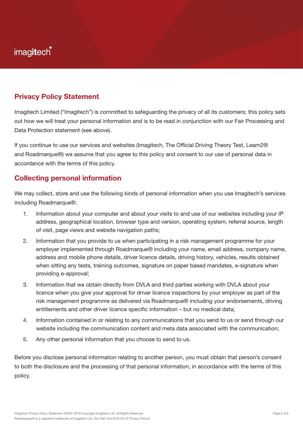### Privacy Policy Statement

Imagitech Limited ("Imagitech") is committed to safeguarding the privacy of all its customers; this policy sets out how we will treat your personal information and is to be read in conjunction with our Fair Processing and Data Protection statement (see above).

If you continue to use our services and websites (Imagitech, The Official Driving Theory Test, Learn2® and Roadmarque®) we assume that you agree to this policy and consent to our use of personal data in accordance with the terms of this policy.

### Collecting personal information

We may collect, store and use the following kinds of personal information when you use Imagitech's services including Roadmarque®:

- 1. Information about your computer and about your visits to and use of our websites including your IP address, geographical location, browser type and version, operating system, referral source, length of visit, page views and website navigation paths;
- 2. Information that you provide to us when participating in a risk management programme for your employer implemented through Roadmarque® including your name, email address, company name, address and mobile phone details, driver licence details, driving history, vehicles, results obtained when sitting any tests, training outcomes, signature on paper based mandates, e-signature when providing e-approval;
- 3. Information that we obtain directly from DVLA and third parties working with DVLA about your licence when you give your approval for driver licence inspections by your employer as part of the risk management programme as delivered via Roadmarque® including your endorsements, driving entitlements and other driver licence specific information – but no medical data;
- 4. Information contained in or relating to any communications that you send to us or send through our website including the communication content and meta data associated with the communication;
- 5. Any other personal information that you choose to send to us.

Before you disclose personal information relating to another person, you must obtain that person's consent to both the disclosure and the processing of that personal information, in accordance with the terms of this policy.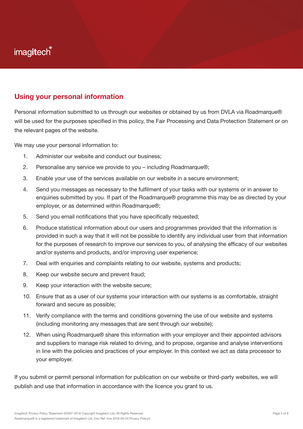#### Using your personal information

Personal information submitted to us through our websites or obtained by us from DVLA via Roadmarque® will be used for the purposes specified in this policy, the Fair Processing and Data Protection Statement or on the relevant pages of the website.

We may use your personal information to:

- 1. Administer our website and conduct our business;
- 2. Personalise any service we provide to you including Roadmarque®;
- 3. Enable your use of the services available on our website in a secure environment;
- 4. Send you messages as necessary to the fulfilment of your tasks with our systems or in answer to enquiries submitted by you. If part of the Roadmarque® programme this may be as directed by your employer, or as determined within Roadmarque®;
- 5. Send you email notifications that you have specifically requested;
- 6. Produce statistical information about our users and programmes provided that the information is provided in such a way that it will not be possible to identify any individual user from that information for the purposes of research to improve our services to you, of analysing the efficacy of our websites and/or systems and products, and/or improving user experience;
- 7. Deal with enquiries and complaints relating to our website, systems and products;
- 8. Keep our website secure and prevent fraud;
- 9. Keep your interaction with the website secure;
- 10. Ensure that as a user of our systems your interaction with our systems is as comfortable, straight forward and secure as possible;
- 11. Verify compliance with the terms and conditions governing the use of our website and systems (including monitoring any messages that are sent through our website);
- 12. When using Roadmarque® share this information with your employer and their appointed advisors and suppliers to manage risk related to driving, and to propose, organise and analyse interventions in line with the policies and practices of your employer. In this context we act as data processor to your employer.

If you submit or permit personal information for publication on our website or third-party websites, we will publish and use that information in accordance with the licence you grant to us.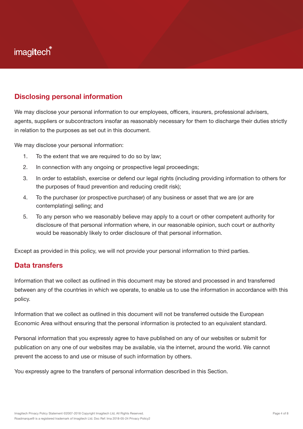#### Disclosing personal information

We may disclose your personal information to our employees, officers, insurers, professional advisers, agents, suppliers or subcontractors insofar as reasonably necessary for them to discharge their duties strictly in relation to the purposes as set out in this document.

We may disclose your personal information:

- 1. To the extent that we are required to do so by law;
- 2. In connection with any ongoing or prospective legal proceedings;
- 3. In order to establish, exercise or defend our legal rights (including providing information to others for the purposes of fraud prevention and reducing credit risk);
- 4. To the purchaser (or prospective purchaser) of any business or asset that we are (or are contemplating) selling; and
- 5. To any person who we reasonably believe may apply to a court or other competent authority for disclosure of that personal information where, in our reasonable opinion, such court or authority would be reasonably likely to order disclosure of that personal information.

Except as provided in this policy, we will not provide your personal information to third parties.

#### Data transfers

Information that we collect as outlined in this document may be stored and processed in and transferred between any of the countries in which we operate, to enable us to use the information in accordance with this policy.

Information that we collect as outlined in this document will not be transferred outside the European Economic Area without ensuring that the personal information is protected to an equivalent standard.

Personal information that you expressly agree to have published on any of our websites or submit for publication on any one of our websites may be available, via the internet, around the world. We cannot prevent the access to and use or misuse of such information by others.

You expressly agree to the transfers of personal information described in this Section.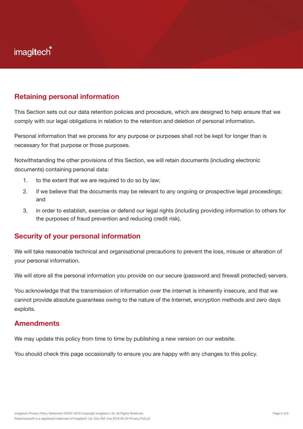#### Retaining personal information

This Section sets out our data retention policies and procedure, which are designed to help ensure that we comply with our legal obligations in relation to the retention and deletion of personal information.

Personal information that we process for any purpose or purposes shall not be kept for longer than is necessary for that purpose or those purposes.

Notwithstanding the other provisions of this Section, we will retain documents (including electronic documents) containing personal data:

- 1. to the extent that we are required to do so by law;
- 2. if we believe that the documents may be relevant to any ongoing or prospective legal proceedings; and
- 3. in order to establish, exercise or defend our legal rights (including providing information to others for the purposes of fraud prevention and reducing credit risk).

#### Security of your personal information

We will take reasonable technical and organisational precautions to prevent the loss, misuse or alteration of your personal information.

We will store all the personal information you provide on our secure (password and firewall protected) servers.

You acknowledge that the transmission of information over the internet is inherently insecure, and that we cannot provide absolute guarantees owing to the nature of the Internet, encryption methods and zero days exploits.

#### **Amendments**

We may update this policy from time to time by publishing a new version on our website.

You should check this page occasionally to ensure you are happy with any changes to this policy.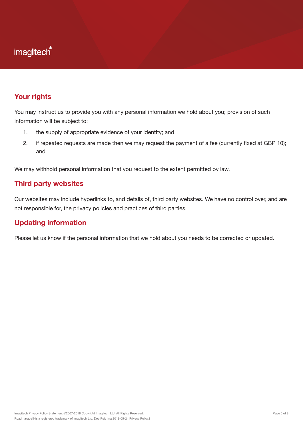#### Your rights

You may instruct us to provide you with any personal information we hold about you; provision of such information will be subject to:

- 1. the supply of appropriate evidence of your identity; and
- 2. if repeated requests are made then we may request the payment of a fee (currently fixed at GBP 10); and

We may withhold personal information that you request to the extent permitted by law.

#### Third party websites

Our websites may include hyperlinks to, and details of, third party websites. We have no control over, and are not responsible for, the privacy policies and practices of third parties.

#### Updating information

Please let us know if the personal information that we hold about you needs to be corrected or updated.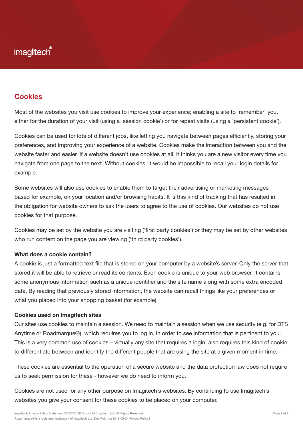### **Cookies**

Most of the websites you visit use cookies to improve your experience; enabling a site to 'remember' you, either for the duration of your visit (using a 'session cookie') or for repeat visits (using a 'persistent cookie').

Cookies can be used for lots of different jobs, like letting you navigate between pages efficiently, storing your preferences, and improving your experience of a website. Cookies make the interaction between you and the website faster and easier. If a website doesn't use cookies at all, it thinks you are a new visitor every time you navigate from one page to the next. Without cookies, it would be impossible to recall your login details for example.

Some websites will also use cookies to enable them to target their advertising or marketing messages based for example, on your location and/or browsing habits. It is this kind of tracking that has resulted in the obligation for website owners to ask the users to agree to the use of cookies. Our websites do not use cookies for that purpose.

Cookies may be set by the website you are visiting ('first party cookies') or they may be set by other websites who run content on the page you are viewing ('third party cookies').

#### What does a cookie contain?

A cookie is just a formatted text file that is stored on your computer by a website's server. Only the server that stored it will be able to retrieve or read its contents. Each cookie is unique to your web browser. It contains some anonymous information such as a unique identifier and the site name along with some extra encoded data. By reading that previously stored information, the website can recall things like your preferences or what you placed into your shopping basket (for example).

#### Cookies used on Imagitech sites

Our sites use cookies to maintain a session. We need to maintain a session when we use security (e.g. for DTS Anytime or Roadmarque®), which requires you to log in, in order to see information that is pertinent to you. This is a very common use of cookies – virtually any site that requires a login, also requires this kind of cookie to differentiate between and identify the different people that are using the site at a given moment in time.

These cookies are essential to the operation of a secure website and the data protection law does not require us to seek permission for these - however we do need to inform you.

Cookies are not used for any other purpose on Imagitech's websites. By continuing to use Imagitech's websites you give your consent for these cookies to be placed on your computer.